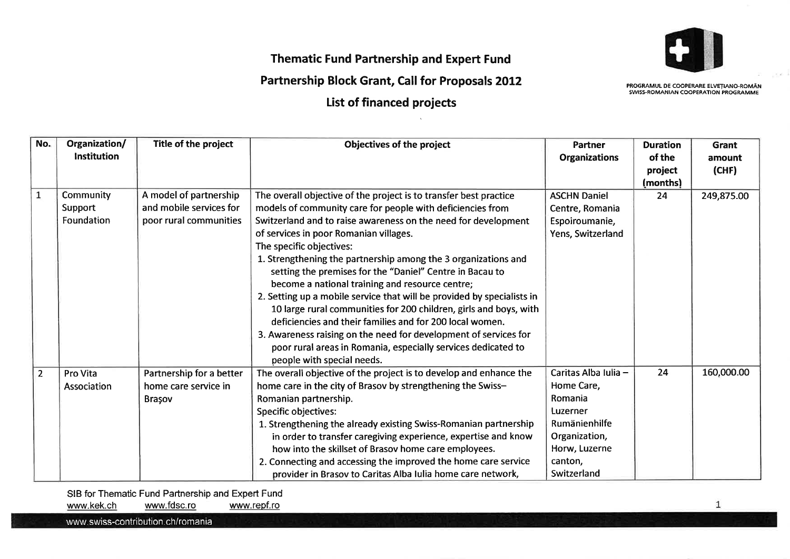

## Thematic Fund Partnership and Expert Fund

## Partnership Block Grant, Call for Proposals 2012

List of financed projects

PROGRAMUL DE COOPERARE ELVFÍIANO-ROMÂN SWISS.ROMANIAN COOPERATION PROGRAMME

| No.            | Organization/      | Title of the project     | Objectives of the project                                              | Partner              | <b>Duration</b> | <b>Grant</b> |
|----------------|--------------------|--------------------------|------------------------------------------------------------------------|----------------------|-----------------|--------------|
|                | <b>Institution</b> |                          |                                                                        | <b>Organizations</b> | of the          | amount       |
|                |                    |                          |                                                                        |                      | project         | (CHF)        |
|                |                    |                          |                                                                        |                      | (months)        |              |
| $\mathbf{1}$   | Community          | A model of partnership   | The overall objective of the project is to transfer best practice      | <b>ASCHN Daniel</b>  | 24              | 249,875.00   |
|                | Support            | and mobile services for  | models of community care for people with deficiencies from             | Centre, Romania      |                 |              |
|                | Foundation         | poor rural communities   | Switzerland and to raise awareness on the need for development         | Espoiroumanie,       |                 |              |
|                |                    |                          | of services in poor Romanian villages.                                 | Yens, Switzerland    |                 |              |
|                |                    |                          | The specific objectives:                                               |                      |                 |              |
|                |                    |                          | 1. Strengthening the partnership among the 3 organizations and         |                      |                 |              |
|                |                    |                          | setting the premises for the "Daniel" Centre in Bacau to               |                      |                 |              |
|                |                    |                          | become a national training and resource centre;                        |                      |                 |              |
|                |                    |                          | 2. Setting up a mobile service that will be provided by specialists in |                      |                 |              |
|                |                    |                          | 10 large rural communities for 200 children, girls and boys, with      |                      |                 |              |
|                |                    |                          | deficiencies and their families and for 200 local women.               |                      |                 |              |
|                |                    |                          | 3. Awareness raising on the need for development of services for       |                      |                 |              |
|                |                    |                          | poor rural areas in Romania, especially services dedicated to          |                      |                 |              |
|                |                    |                          | people with special needs.                                             |                      |                 |              |
| $\overline{2}$ | Pro Vita           | Partnership for a better | The overall objective of the project is to develop and enhance the     | Caritas Alba Iulia - | 24              | 160,000.00   |
|                | Association        | home care service in     | home care in the city of Brasov by strengthening the Swiss-            | Home Care,           |                 |              |
|                |                    | Brașov                   | Romanian partnership.                                                  | Romania              |                 |              |
|                |                    |                          | <b>Specific objectives:</b>                                            | Luzerner             |                 |              |
|                |                    |                          | 1. Strengthening the already existing Swiss-Romanian partnership       | Rumänienhilfe        |                 |              |
|                |                    |                          | in order to transfer caregiving experience, expertise and know         | Organization,        |                 |              |
|                |                    |                          | how into the skillset of Brasov home care employees.                   | Horw, Luzerne        |                 |              |
|                |                    |                          | 2. Connecting and accessing the improved the home care service         | canton,              |                 |              |
|                |                    |                          | provider in Brasov to Caritas Alba Iulia home care network,            | Switzerland          |                 |              |

SIB for Thematic Fund Partnership and Expert Fund<br>www.kek.ch www.fdsc.ro www.repf.ro www.fdsc.ro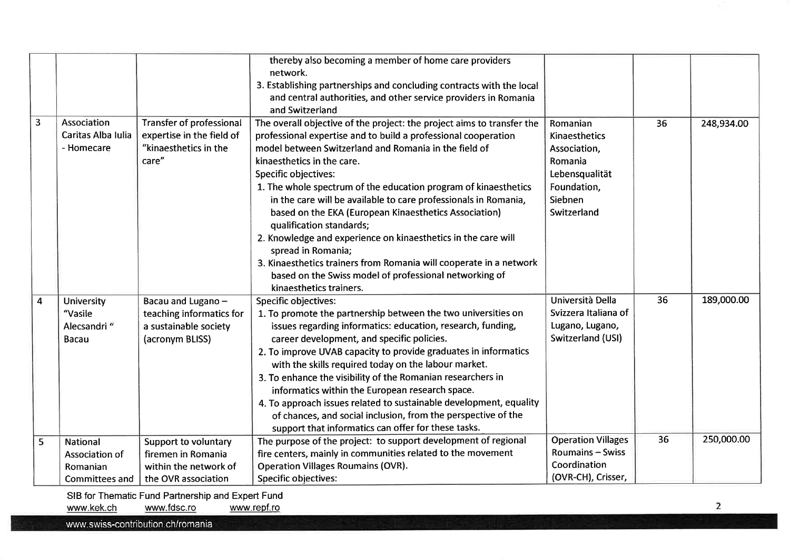|                         |                                                                        |                                                                                                | thereby also becoming a member of home care providers<br>network.<br>3. Establishing partnerships and concluding contracts with the local<br>and central authorities, and other service providers in Romania<br>and Switzerland                                                                                                                                                                                                                                                                                                                                                                                                                                                                                                      |                                                                                                                 |    |            |
|-------------------------|------------------------------------------------------------------------|------------------------------------------------------------------------------------------------|--------------------------------------------------------------------------------------------------------------------------------------------------------------------------------------------------------------------------------------------------------------------------------------------------------------------------------------------------------------------------------------------------------------------------------------------------------------------------------------------------------------------------------------------------------------------------------------------------------------------------------------------------------------------------------------------------------------------------------------|-----------------------------------------------------------------------------------------------------------------|----|------------|
| $\overline{3}$          | Association<br>Caritas Alba Iulia<br>- Homecare                        | <b>Transfer of professional</b><br>expertise in the field of<br>"kinaesthetics in the<br>care" | The overall objective of the project: the project aims to transfer the<br>professional expertise and to build a professional cooperation<br>model between Switzerland and Romania in the field of<br>kinaesthetics in the care.<br>Specific objectives:<br>1. The whole spectrum of the education program of kinaesthetics<br>in the care will be available to care professionals in Romania,<br>based on the EKA (European Kinaesthetics Association)<br>qualification standards;<br>2. Knowledge and experience on kinaesthetics in the care will<br>spread in Romania;<br>3. Kinaesthetics trainers from Romania will cooperate in a network<br>based on the Swiss model of professional networking of<br>kinaesthetics trainers. | Romanian<br>Kinaesthetics<br>Association,<br>Romania<br>Lebensqualität<br>Foundation,<br>Siebnen<br>Switzerland | 36 | 248,934.00 |
| $\overline{\mathbf{4}}$ | <b>University</b><br>"Vasile<br>Alecsandri"<br>Bacau                   | Bacau and Lugano-<br>teaching informatics for<br>a sustainable society<br>(acronym BLISS)      | Specific objectives:<br>1. To promote the partnership between the two universities on<br>issues regarding informatics: education, research, funding,<br>career development, and specific policies.<br>2. To improve UVAB capacity to provide graduates in informatics<br>with the skills required today on the labour market.<br>3. To enhance the visibility of the Romanian researchers in<br>informatics within the European research space.<br>4. To approach issues related to sustainable development, equality<br>of chances, and social inclusion, from the perspective of the<br>support that informatics can offer for these tasks.                                                                                        | Università Della<br>Svizzera Italiana of<br>Lugano, Lugano,<br>Switzerland (USI)                                | 36 | 189,000.00 |
| 5                       | <b>National</b><br>Association of<br>Romanian<br><b>Committees and</b> | Support to voluntary<br>firemen in Romania<br>within the network of<br>the OVR association     | The purpose of the project: to support development of regional<br>fire centers, mainly in communities related to the movement<br><b>Operation Villages Roumains (OVR).</b><br>Specific objectives:                                                                                                                                                                                                                                                                                                                                                                                                                                                                                                                                   | <b>Operation Villages</b><br>Roumains - Swiss<br>Coordination<br>(OVR-CH), Crisser,                             | 36 | 250,000.00 |

SIB for Thematic Fund Partnership and Expert Fund<br>www.kek.ch www.fdsc.ro www.repf.ro

www.fdsc.ro

www.swiss-contribution.ch/romania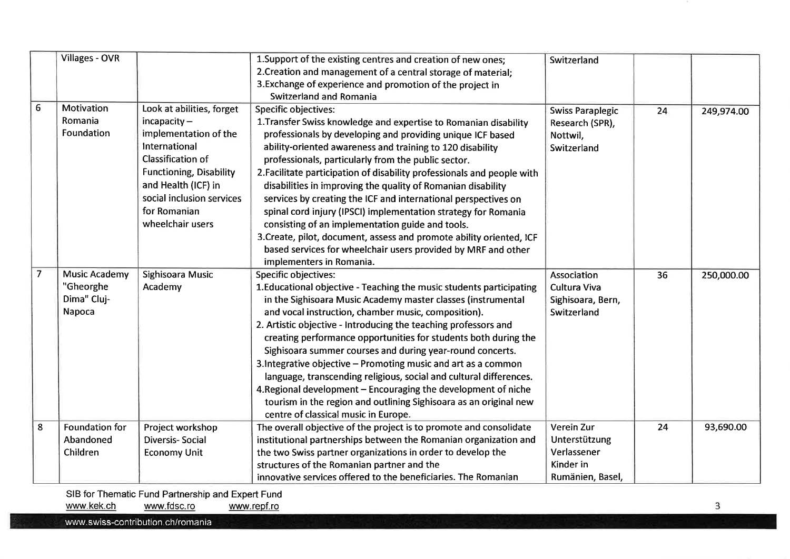|                | <b>Villages - OVR</b> |                                | 1. Support of the existing centres and creation of new ones;            | Switzerland             |    |            |
|----------------|-----------------------|--------------------------------|-------------------------------------------------------------------------|-------------------------|----|------------|
|                |                       |                                | 2. Creation and management of a central storage of material;            |                         |    |            |
|                |                       |                                | 3. Exchange of experience and promotion of the project in               |                         |    |            |
|                |                       |                                | Switzerland and Romania                                                 |                         |    |            |
| 6              | <b>Motivation</b>     | Look at abilities, forget      | <b>Specific objectives:</b>                                             | <b>Swiss Paraplegic</b> | 24 |            |
|                | Romania               | $incapacity -$                 | 1. Transfer Swiss knowledge and expertise to Romanian disability        | Research (SPR),         |    | 249,974.00 |
|                | Foundation            | implementation of the          | professionals by developing and providing unique ICF based              | Nottwil,                |    |            |
|                |                       | International                  | ability-oriented awareness and training to 120 disability               | Switzerland             |    |            |
|                |                       | Classification of              |                                                                         |                         |    |            |
|                |                       |                                | professionals, particularly from the public sector.                     |                         |    |            |
|                |                       | <b>Functioning, Disability</b> | 2. Facilitate participation of disability professionals and people with |                         |    |            |
|                |                       | and Health (ICF) in            | disabilities in improving the quality of Romanian disability            |                         |    |            |
|                |                       | social inclusion services      | services by creating the ICF and international perspectives on          |                         |    |            |
|                |                       | for Romanian                   | spinal cord injury (IPSCI) implementation strategy for Romania          |                         |    |            |
|                |                       | wheelchair users               | consisting of an implementation guide and tools.                        |                         |    |            |
|                |                       |                                | 3. Create, pilot, document, assess and promote ability oriented, ICF    |                         |    |            |
|                |                       |                                | based services for wheelchair users provided by MRF and other           |                         |    |            |
|                |                       |                                | implementers in Romania.                                                |                         |    |            |
| $\overline{7}$ | <b>Music Academy</b>  | Sighisoara Music               | Specific objectives:                                                    | Association             | 36 | 250,000.00 |
|                | "Gheorghe             | Academy                        | 1. Educational objective - Teaching the music students participating    | Cultura Viva            |    |            |
|                | Dima" Cluj-           |                                | in the Sighisoara Music Academy master classes (instrumental            | Sighisoara, Bern,       |    |            |
|                | Napoca                |                                | and vocal instruction, chamber music, composition).                     | Switzerland             |    |            |
|                |                       |                                | 2. Artistic objective - Introducing the teaching professors and         |                         |    |            |
|                |                       |                                | creating performance opportunities for students both during the         |                         |    |            |
|                |                       |                                | Sighisoara summer courses and during year-round concerts.               |                         |    |            |
|                |                       |                                | 3. Integrative objective - Promoting music and art as a common          |                         |    |            |
|                |                       |                                | language, transcending religious, social and cultural differences.      |                         |    |            |
|                |                       |                                | 4. Regional development - Encouraging the development of niche          |                         |    |            |
|                |                       |                                | tourism in the region and outlining Sighisoara as an original new       |                         |    |            |
|                |                       |                                | centre of classical music in Europe.                                    |                         |    |            |
| 8              | <b>Foundation for</b> | Project workshop               | The overall objective of the project is to promote and consolidate      | <b>Verein Zur</b>       | 24 | 93,690.00  |
|                | Abandoned             | <b>Diversis-Social</b>         | institutional partnerships between the Romanian organization and        | Unterstützung           |    |            |
|                | Children              | <b>Economy Unit</b>            | the two Swiss partner organizations in order to develop the             | Verlassener             |    |            |
|                |                       |                                | structures of the Romanian partner and the                              | Kinder in               |    |            |
|                |                       |                                | innovative services offered to the beneficiaries. The Romanian          | Rumänien, Basel,        |    |            |

SIB for Thematic Fund Partnership and Expert Fund<br>www.kek.ch www.fdsc.ro www.repf.ro www.fdsc.ro www.repf.ro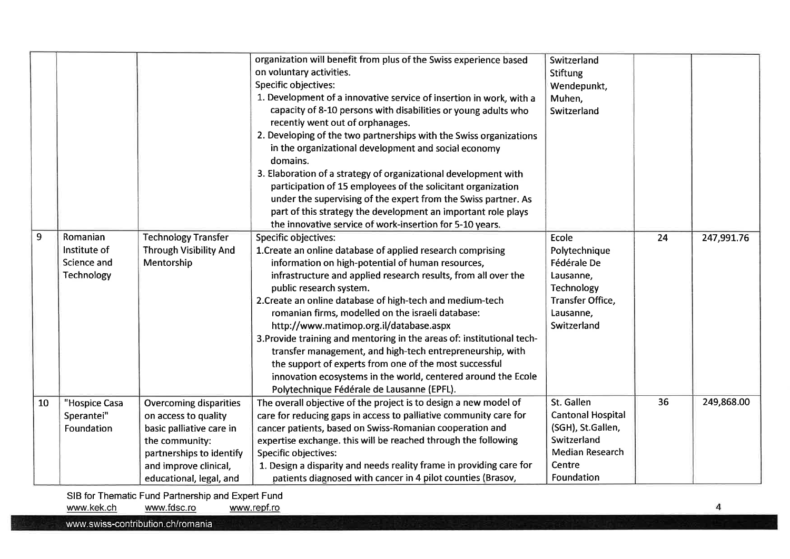| 9  | Romanian                    | <b>Technology Transfer</b>                  | organization will benefit from plus of the Swiss experience based<br>on voluntary activities.<br>Specific objectives:<br>1. Development of a innovative service of insertion in work, with a<br>capacity of 8-10 persons with disabilities or young adults who<br>recently went out of orphanages.<br>2. Developing of the two partnerships with the Swiss organizations<br>in the organizational development and social economy<br>domains.<br>3. Elaboration of a strategy of organizational development with<br>participation of 15 employees of the solicitant organization<br>under the supervising of the expert from the Swiss partner. As<br>part of this strategy the development an important role plays<br>the innovative service of work-insertion for 5-10 years.<br><b>Specific objectives:</b> | Switzerland<br><b>Stiftung</b><br>Wendepunkt,<br>Muhen,<br>Switzerland<br>Ecole | 24 | 247,991.76 |
|----|-----------------------------|---------------------------------------------|---------------------------------------------------------------------------------------------------------------------------------------------------------------------------------------------------------------------------------------------------------------------------------------------------------------------------------------------------------------------------------------------------------------------------------------------------------------------------------------------------------------------------------------------------------------------------------------------------------------------------------------------------------------------------------------------------------------------------------------------------------------------------------------------------------------|---------------------------------------------------------------------------------|----|------------|
|    | Institute of<br>Science and | <b>Through Visibility And</b><br>Mentorship | 1. Create an online database of applied research comprising<br>information on high-potential of human resources,                                                                                                                                                                                                                                                                                                                                                                                                                                                                                                                                                                                                                                                                                              | Polytechnique<br>Fédérale De                                                    |    |            |
|    | Technology                  |                                             | infrastructure and applied research results, from all over the                                                                                                                                                                                                                                                                                                                                                                                                                                                                                                                                                                                                                                                                                                                                                | Lausanne,                                                                       |    |            |
|    |                             |                                             | public research system.                                                                                                                                                                                                                                                                                                                                                                                                                                                                                                                                                                                                                                                                                                                                                                                       | Technology                                                                      |    |            |
|    |                             |                                             | 2. Create an online database of high-tech and medium-tech                                                                                                                                                                                                                                                                                                                                                                                                                                                                                                                                                                                                                                                                                                                                                     | Transfer Office,                                                                |    |            |
|    |                             |                                             | romanian firms, modelled on the israeli database:                                                                                                                                                                                                                                                                                                                                                                                                                                                                                                                                                                                                                                                                                                                                                             | Lausanne,                                                                       |    |            |
|    |                             |                                             | http://www.matimop.org.il/database.aspx                                                                                                                                                                                                                                                                                                                                                                                                                                                                                                                                                                                                                                                                                                                                                                       | Switzerland                                                                     |    |            |
|    |                             |                                             | 3. Provide training and mentoring in the areas of: institutional tech-<br>transfer management, and high-tech entrepreneurship, with                                                                                                                                                                                                                                                                                                                                                                                                                                                                                                                                                                                                                                                                           |                                                                                 |    |            |
|    |                             |                                             | the support of experts from one of the most successful                                                                                                                                                                                                                                                                                                                                                                                                                                                                                                                                                                                                                                                                                                                                                        |                                                                                 |    |            |
|    |                             |                                             | innovation ecosystems in the world, centered around the Ecole                                                                                                                                                                                                                                                                                                                                                                                                                                                                                                                                                                                                                                                                                                                                                 |                                                                                 |    |            |
|    |                             |                                             | Polytechnique Fédérale de Lausanne (EPFL).                                                                                                                                                                                                                                                                                                                                                                                                                                                                                                                                                                                                                                                                                                                                                                    |                                                                                 |    |            |
| 10 | "Hospice Casa               | <b>Overcoming disparities</b>               | The overall objective of the project is to design a new model of                                                                                                                                                                                                                                                                                                                                                                                                                                                                                                                                                                                                                                                                                                                                              | St. Gallen                                                                      | 36 | 249,868.00 |
|    | Sperantei"                  | on access to quality                        | care for reducing gaps in access to palliative community care for                                                                                                                                                                                                                                                                                                                                                                                                                                                                                                                                                                                                                                                                                                                                             | <b>Cantonal Hospital</b>                                                        |    |            |
|    | Foundation                  | basic palliative care in                    | cancer patients, based on Swiss-Romanian cooperation and                                                                                                                                                                                                                                                                                                                                                                                                                                                                                                                                                                                                                                                                                                                                                      | (SGH), St.Gallen,                                                               |    |            |
|    |                             | the community:                              | expertise exchange. this will be reached through the following                                                                                                                                                                                                                                                                                                                                                                                                                                                                                                                                                                                                                                                                                                                                                | Switzerland                                                                     |    |            |
|    |                             | partnerships to identify                    | Specific objectives:                                                                                                                                                                                                                                                                                                                                                                                                                                                                                                                                                                                                                                                                                                                                                                                          | <b>Median Research</b>                                                          |    |            |
|    |                             | and improve clinical,                       | 1. Design a disparity and needs reality frame in providing care for                                                                                                                                                                                                                                                                                                                                                                                                                                                                                                                                                                                                                                                                                                                                           | Centre                                                                          |    |            |
|    |                             | educational, legal, and                     | patients diagnosed with cancer in 4 pilot counties (Brasov,                                                                                                                                                                                                                                                                                                                                                                                                                                                                                                                                                                                                                                                                                                                                                   | Foundation                                                                      |    |            |

SIB for Thematic Fund Partnership and Expert Fund<br>www.kek.ch www.fdsc.ro www.repf.ro www.fdsc.ro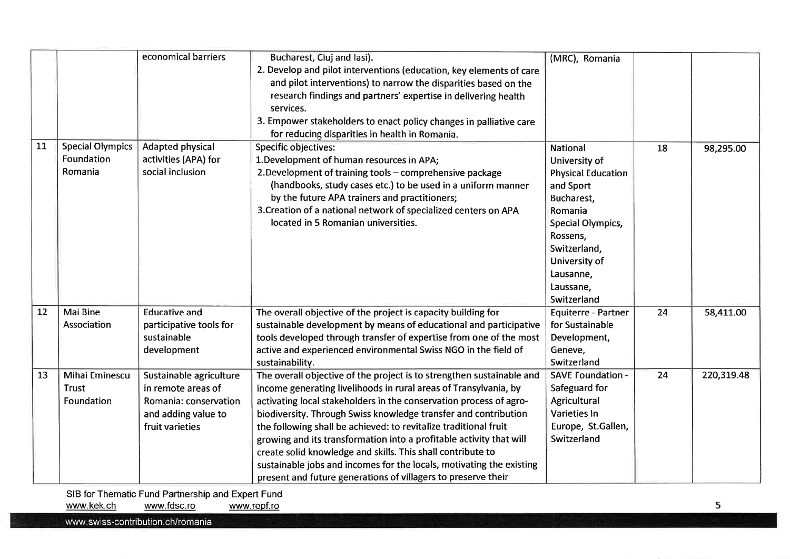|    |                         | economical barriers     | Bucharest, Cluj and lasi).                                            | (MRC), Romania            |    |            |
|----|-------------------------|-------------------------|-----------------------------------------------------------------------|---------------------------|----|------------|
|    |                         |                         | 2. Develop and pilot interventions (education, key elements of care   |                           |    |            |
|    |                         |                         | and pilot interventions) to narrow the disparities based on the       |                           |    |            |
|    |                         |                         | research findings and partners' expertise in delivering health        |                           |    |            |
|    |                         |                         | services.                                                             |                           |    |            |
|    |                         |                         | 3. Empower stakeholders to enact policy changes in palliative care    |                           |    |            |
|    |                         |                         | for reducing disparities in health in Romania.                        |                           |    |            |
| 11 | <b>Special Olympics</b> | Adapted physical        | <b>Specific objectives:</b>                                           | <b>National</b>           | 18 | 98,295.00  |
|    | Foundation              | activities (APA) for    | 1. Development of human resources in APA;                             | University of             |    |            |
|    | Romania                 | social inclusion        | 2. Development of training tools - comprehensive package              | <b>Physical Education</b> |    |            |
|    |                         |                         | (handbooks, study cases etc.) to be used in a uniform manner          | and Sport                 |    |            |
|    |                         |                         | by the future APA trainers and practitioners;                         | Bucharest,                |    |            |
|    |                         |                         | 3. Creation of a national network of specialized centers on APA       | Romania                   |    |            |
|    |                         |                         | located in 5 Romanian universities.                                   | Special Olympics,         |    |            |
|    |                         |                         |                                                                       | Rossens,                  |    |            |
|    |                         |                         |                                                                       | Switzerland,              |    |            |
|    |                         |                         |                                                                       | University of             |    |            |
|    |                         |                         |                                                                       | Lausanne,                 |    |            |
|    |                         |                         |                                                                       | Laussane,                 |    |            |
|    |                         |                         |                                                                       | Switzerland               |    |            |
| 12 | Mai Bine                | <b>Educative and</b>    | The overall objective of the project is capacity building for         | Equiterre - Partner       | 24 | 58,411.00  |
|    | Association             | participative tools for | sustainable development by means of educational and participative     | for Sustainable           |    |            |
|    |                         | sustainable             | tools developed through transfer of expertise from one of the most    | Development,              |    |            |
|    |                         | development             | active and experienced environmental Swiss NGO in the field of        | Geneve,                   |    |            |
|    |                         |                         | sustainability.                                                       | Switzerland               |    |            |
| 13 | <b>Mihai Eminescu</b>   | Sustainable agriculture | The overall objective of the project is to strengthen sustainable and | <b>SAVE Foundation -</b>  | 24 | 220,319.48 |
|    | <b>Trust</b>            | in remote areas of      | income generating livelihoods in rural areas of Transylvania, by      | Safeguard for             |    |            |
|    | Foundation              | Romania: conservation   | activating local stakeholders in the conservation process of agro-    | Agricultural              |    |            |
|    |                         | and adding value to     | biodiversity. Through Swiss knowledge transfer and contribution       | Varieties In              |    |            |
|    |                         | fruit varieties         | the following shall be achieved: to revitalize traditional fruit      | Europe, St.Gallen,        |    |            |
|    |                         |                         | growing and its transformation into a profitable activity that will   | Switzerland               |    |            |
|    |                         |                         | create solid knowledge and skills. This shall contribute to           |                           |    |            |
|    |                         |                         | sustainable jobs and incomes for the locals, motivating the existing  |                           |    |            |
|    |                         |                         | present and future generations of villagers to preserve their         |                           |    |            |

SIB for Thematic Fund Partnership and Expert Fund<br>www.kek.ch www.fdsc.ro www.repf.ro www.fdsc.ro

www.swiss-contribution.ch/romania